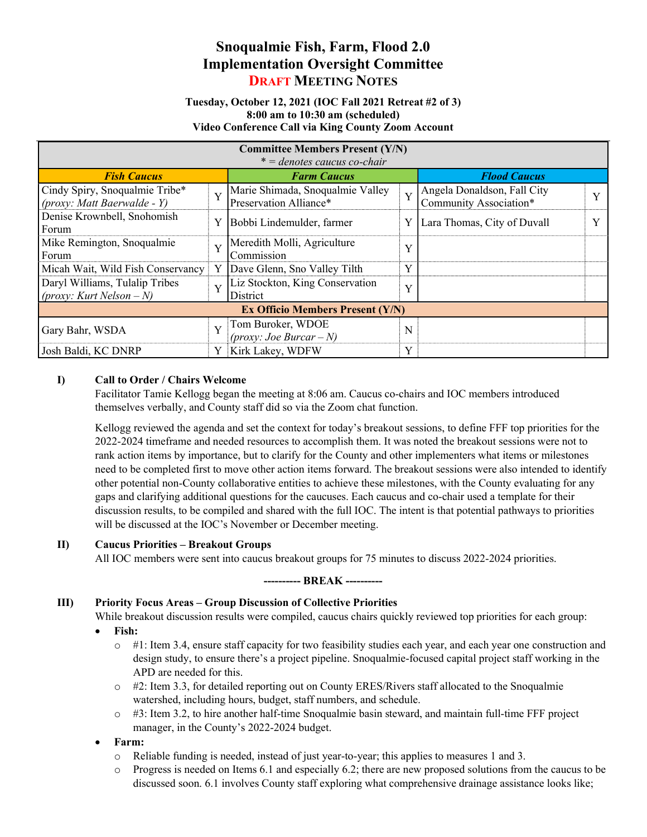# Snoqualmie Fish, Farm, Flood 2.0 Implementation Oversight Committee DRAFT MEETING NOTES

#### Tuesday, October 12, 2021 (IOC Fall 2021 Retreat #2 of 3) 8:00 am to 10:30 am (scheduled) Video Conference Call via King County Zoom Account

| <b>Committee Members Present (Y/N)</b><br>$* =$ denotes caucus co-chair |                         |                                                            |              |                                                       |  |
|-------------------------------------------------------------------------|-------------------------|------------------------------------------------------------|--------------|-------------------------------------------------------|--|
| <b>Fish Caucus</b>                                                      |                         | <b>Farm Caucus</b>                                         |              | <b>Flood Caucus</b>                                   |  |
| Cindy Spiry, Snoqualmie Tribe*<br>(proxy: Matt Baerwalde - Y)           | $\overline{\mathbf{Y}}$ | Marie Shimada, Snoqualmie Valley<br>Preservation Alliance* | Y            | Angela Donaldson, Fall City<br>Community Association* |  |
| Denise Krownbell, Snohomish<br>Forum                                    | Y                       | Bobbi Lindemulder, farmer                                  | Y            | Lara Thomas, City of Duvall                           |  |
| Mike Remington, Snoqualmie<br>Forum                                     | Y                       | Meredith Molli, Agriculture<br>Commission                  | $\bf{v}$     |                                                       |  |
| Micah Wait, Wild Fish Conservancy                                       | Y                       | Dave Glenn, Sno Valley Tilth                               | Y            |                                                       |  |
| Daryl Williams, Tulalip Tribes<br>(proxy: Kurt Nelson $-N$ )            | Y                       | Liz Stockton, King Conservation<br>District                | $\mathbf{v}$ |                                                       |  |
| <b>Ex Officio Members Present (Y/N)</b>                                 |                         |                                                            |              |                                                       |  |
| Gary Bahr, WSDA                                                         | Y                       | Tom Buroker, WDOE<br>(proxy: Joe Burcar – N)               | N            |                                                       |  |
| Josh Baldi, KC DNRP                                                     | Y                       | Kirk Lakey, WDFW                                           | Y            |                                                       |  |

## I) Call to Order / Chairs Welcome

Facilitator Tamie Kellogg began the meeting at 8:06 am. Caucus co-chairs and IOC members introduced themselves verbally, and County staff did so via the Zoom chat function.

Kellogg reviewed the agenda and set the context for today's breakout sessions, to define FFF top priorities for the 2022-2024 timeframe and needed resources to accomplish them. It was noted the breakout sessions were not to rank action items by importance, but to clarify for the County and other implementers what items or milestones need to be completed first to move other action items forward. The breakout sessions were also intended to identify other potential non-County collaborative entities to achieve these milestones, with the County evaluating for any gaps and clarifying additional questions for the caucuses. Each caucus and co-chair used a template for their discussion results, to be compiled and shared with the full IOC. The intent is that potential pathways to priorities will be discussed at the IOC's November or December meeting.

### II) Caucus Priorities – Breakout Groups

All IOC members were sent into caucus breakout groups for 75 minutes to discuss 2022-2024 priorities.

### ---------- BREAK ----------

### III) Priority Focus Areas – Group Discussion of Collective Priorities

While breakout discussion results were compiled, caucus chairs quickly reviewed top priorities for each group:

- Fish:
	- o #1: Item 3.4, ensure staff capacity for two feasibility studies each year, and each year one construction and design study, to ensure there's a project pipeline. Snoqualmie-focused capital project staff working in the APD are needed for this.
	- $\circ$  #2: Item 3.3, for detailed reporting out on County ERES/Rivers staff allocated to the Snoqualmie watershed, including hours, budget, staff numbers, and schedule.
	- $\circ$  #3: Item 3.2, to hire another half-time Snoqualmie basin steward, and maintain full-time FFF project manager, in the County's 2022-2024 budget.

### Farm:

- o Reliable funding is needed, instead of just year-to-year; this applies to measures 1 and 3.
- $\circ$  Progress is needed on Items 6.1 and especially 6.2; there are new proposed solutions from the caucus to be discussed soon. 6.1 involves County staff exploring what comprehensive drainage assistance looks like;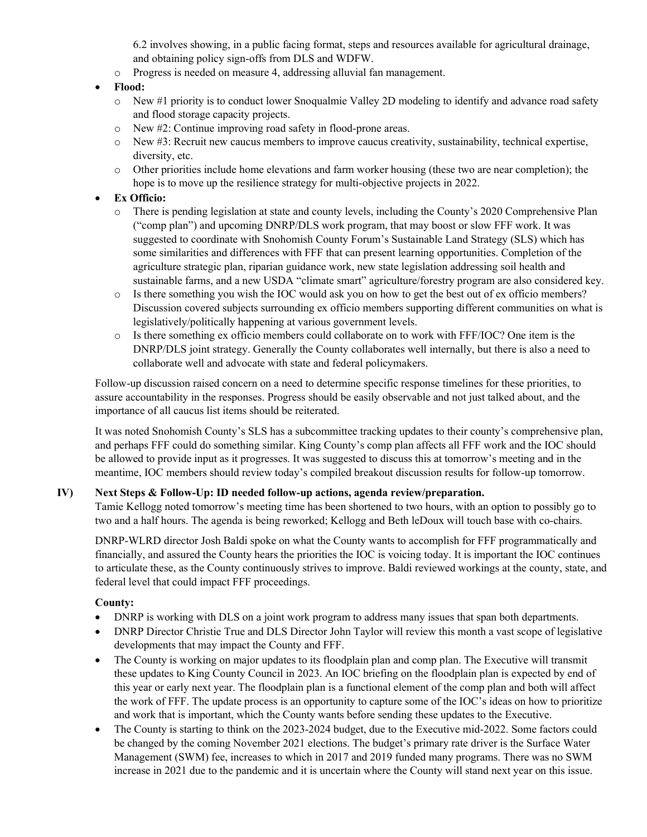6.2 involves showing, in a public facing format, steps and resources available for agricultural drainage, and obtaining policy sign-offs from DLS and WDFW.

o Progress is needed on measure 4, addressing alluvial fan management.

## Flood:

- o New #1 priority is to conduct lower Snoqualmie Valley 2D modeling to identify and advance road safety and flood storage capacity projects.
- o New #2: Continue improving road safety in flood-prone areas.
- o New #3: Recruit new caucus members to improve caucus creativity, sustainability, technical expertise, diversity, etc.
- o Other priorities include home elevations and farm worker housing (these two are near completion); the hope is to move up the resilience strategy for multi-objective projects in 2022.

## Ex Officio:

- o There is pending legislation at state and county levels, including the County's 2020 Comprehensive Plan ("comp plan") and upcoming DNRP/DLS work program, that may boost or slow FFF work. It was suggested to coordinate with Snohomish County Forum's Sustainable Land Strategy (SLS) which has some similarities and differences with FFF that can present learning opportunities. Completion of the agriculture strategic plan, riparian guidance work, new state legislation addressing soil health and sustainable farms, and a new USDA "climate smart" agriculture/forestry program are also considered key.
- o Is there something you wish the IOC would ask you on how to get the best out of ex officio members? Discussion covered subjects surrounding ex officio members supporting different communities on what is legislatively/politically happening at various government levels.
- o Is there something ex officio members could collaborate on to work with FFF/IOC? One item is the DNRP/DLS joint strategy. Generally the County collaborates well internally, but there is also a need to collaborate well and advocate with state and federal policymakers.

Follow-up discussion raised concern on a need to determine specific response timelines for these priorities, to assure accountability in the responses. Progress should be easily observable and not just talked about, and the importance of all caucus list items should be reiterated.

It was noted Snohomish County's SLS has a subcommittee tracking updates to their county's comprehensive plan, and perhaps FFF could do something similar. King County's comp plan affects all FFF work and the IOC should be allowed to provide input as it progresses. It was suggested to discuss this at tomorrow's meeting and in the meantime, IOC members should review today's compiled breakout discussion results for follow-up tomorrow.

## IV) Next Steps & Follow-Up: ID needed follow-up actions, agenda review/preparation.

Tamie Kellogg noted tomorrow's meeting time has been shortened to two hours, with an option to possibly go to two and a half hours. The agenda is being reworked; Kellogg and Beth leDoux will touch base with co-chairs.

DNRP-WLRD director Josh Baldi spoke on what the County wants to accomplish for FFF programmatically and financially, and assured the County hears the priorities the IOC is voicing today. It is important the IOC continues to articulate these, as the County continuously strives to improve. Baldi reviewed workings at the county, state, and federal level that could impact FFF proceedings.

## County:

- DNRP is working with DLS on a joint work program to address many issues that span both departments.
- DNRP Director Christie True and DLS Director John Taylor will review this month a vast scope of legislative developments that may impact the County and FFF.
- The County is working on major updates to its floodplain plan and comp plan. The Executive will transmit these updates to King County Council in 2023. An IOC briefing on the floodplain plan is expected by end of this year or early next year. The floodplain plan is a functional element of the comp plan and both will affect the work of FFF. The update process is an opportunity to capture some of the IOC's ideas on how to prioritize and work that is important, which the County wants before sending these updates to the Executive.
- The County is starting to think on the 2023-2024 budget, due to the Executive mid-2022. Some factors could be changed by the coming November 2021 elections. The budget's primary rate driver is the Surface Water Management (SWM) fee, increases to which in 2017 and 2019 funded many programs. There was no SWM increase in 2021 due to the pandemic and it is uncertain where the County will stand next year on this issue.